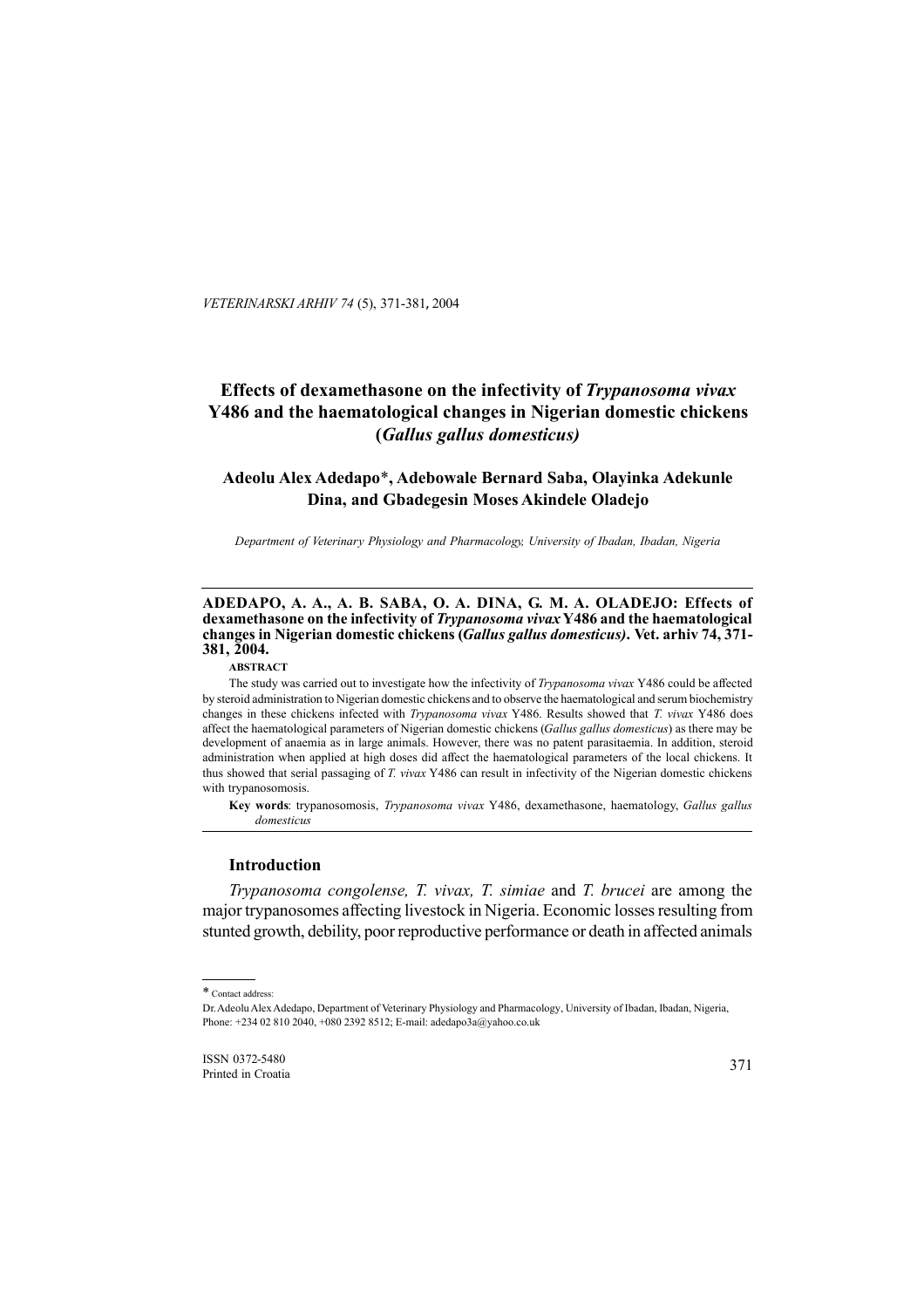*VETERINARSKI ARHIV 74* (5), 371-381, 2004

# **Effects of dexamethasone on the infectivity of** *Trypanosoma vivax* **Y486 and the haematological changes in Nigerian domestic chickens (***Gallus gallus domesticus)*

# **Adeolu Alex Adedapo**\***, Adebowale Bernard Saba, Olayinka Adekunle Dina, and Gbadegesin Moses Akindele Oladejo**

*Department of Veterinary Physiology and Pharmacology, University of Ibadan, Ibadan, Nigeria*

#### **ADEDAPO, A. A., A. B. SABA, O. A. DINA, G. M. A. OLADEJO: Effects of dexamethasone on the infectivity of** *Trypanosoma vivax* **Y486 and the haematological changes in Nigerian domestic chickens (***Gallus gallus domesticus)***. Vet. arhiv 74, 371- 381, 2004.**

# **ABSTRACT**

The study was carried out to investigate how the infectivity of *Trypanosoma vivax* Y486 could be affected by steroid administration to Nigerian domestic chickens and to observe the haematological and serum biochemistry changes in these chickens infected with *Trypanosoma vivax* Y486. Results showed that *T. vivax* Y486 does affect the haematological parameters of Nigerian domestic chickens (*Gallus gallus domesticus*) as there may be development of anaemia as in large animals. However, there was no patent parasitaemia. In addition, steroid administration when applied at high doses did affect the haematological parameters of the local chickens. It thus showed that serial passaging of *T. vivax* Y486 can result in infectivity of the Nigerian domestic chickens with trypanosomosis.

**Key words**: trypanosomosis, *Trypanosoma vivax* Y486, dexamethasone, haematology, *Gallus gallus domesticus*

#### **Introduction**

*Trypanosoma congolense, T. vivax, T. simiae* and *T. brucei* are among the major trypanosomes affecting livestock in Nigeria. Economic losses resulting from stunted growth, debility, poor reproductive performance or death in affected animals

ISSN 0372-5480 Printed in Croatia

<sup>\*</sup> Contact address:

Dr. Adeolu Alex Adedapo, Department of Veterinary Physiology and Pharmacology, University of Ibadan, Ibadan, Nigeria, Phone: +234 02 810 2040, +080 2392 8512; E-mail: adedapo3a@yahoo.co.uk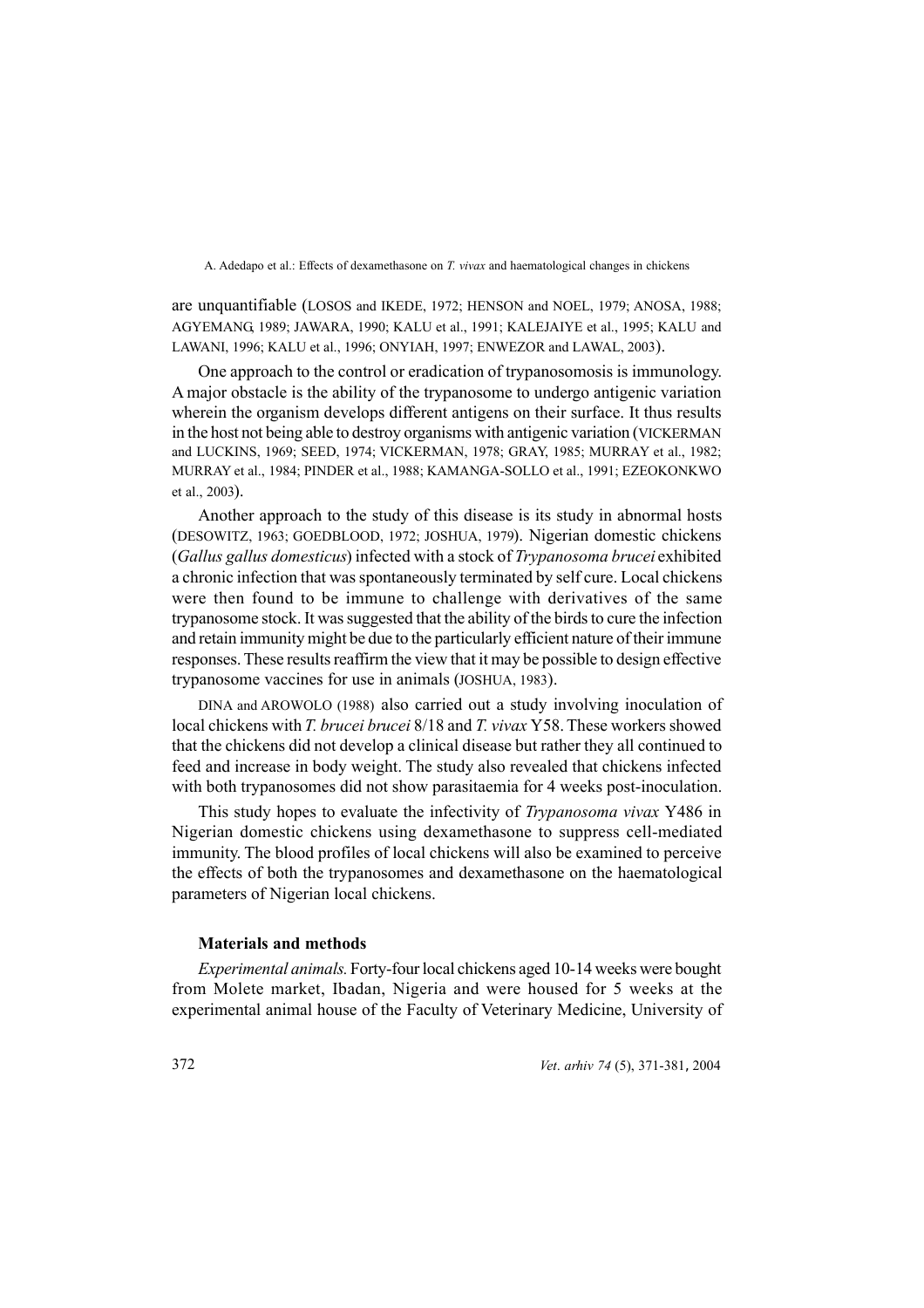are unquantifiable (LOSOS and IKEDE, 1972; HENSON and NOEL, 1979; ANOSA, 1988; AGYEMANG, 1989; JAWARA, 1990; KALU et al., 1991; KALEJAIYE et al., 1995; KALU and LAWANI, 1996; KALU et al., 1996; ONYIAH, 1997; ENWEZOR and LAWAL, 2003).

One approach to the control or eradication of trypanosomosis is immunology. A major obstacle is the ability of the trypanosome to undergo antigenic variation wherein the organism develops different antigens on their surface. It thus results in the host not being able to destroy organisms with antigenic variation (VICKERMAN and LUCKINS, 1969; SEED, 1974; VICKERMAN, 1978; GRAY, 1985; MURRAY et al., 1982; MURRAY et al., 1984; PINDER et al., 1988; KAMANGA-SOLLO et al., 1991; EZEOKONKWO et al., 2003).

Another approach to the study of this disease is its study in abnormal hosts (DESOWITZ, 1963; GOEDBLOOD, 1972; JOSHUA, 1979). Nigerian domestic chickens (*Gallus gallus domesticus*) infected with a stock of *Trypanosoma brucei* exhibited a chronic infection that was spontaneously terminated by self cure. Local chickens were then found to be immune to challenge with derivatives of the same trypanosome stock. It was suggested that the ability of the birds to cure the infection and retain immunity might be due to the particularly efficient nature of their immune responses. These results reaffirm the view that it may be possible to design effective trypanosome vaccines for use in animals (JOSHUA, 1983).

DINA and AROWOLO (1988) also carried out a study involving inoculation of local chickens with *T. brucei brucei* 8/18 and *T. vivax* Y58. These workers showed that the chickens did not develop a clinical disease but rather they all continued to feed and increase in body weight. The study also revealed that chickens infected with both trypanosomes did not show parasitaemia for 4 weeks post-inoculation.

This study hopes to evaluate the infectivity of *Trypanosoma vivax* Y486 in Nigerian domestic chickens using dexamethasone to suppress cell-mediated immunity. The blood profiles of local chickens will also be examined to perceive the effects of both the trypanosomes and dexamethasone on the haematological parameters of Nigerian local chickens.

## **Materials and methods**

*Experimental animals.* Forty-four local chickens aged 10-14 weeks were bought from Molete market, Ibadan, Nigeria and were housed for 5 weeks at the experimental animal house of the Faculty of Veterinary Medicine, University of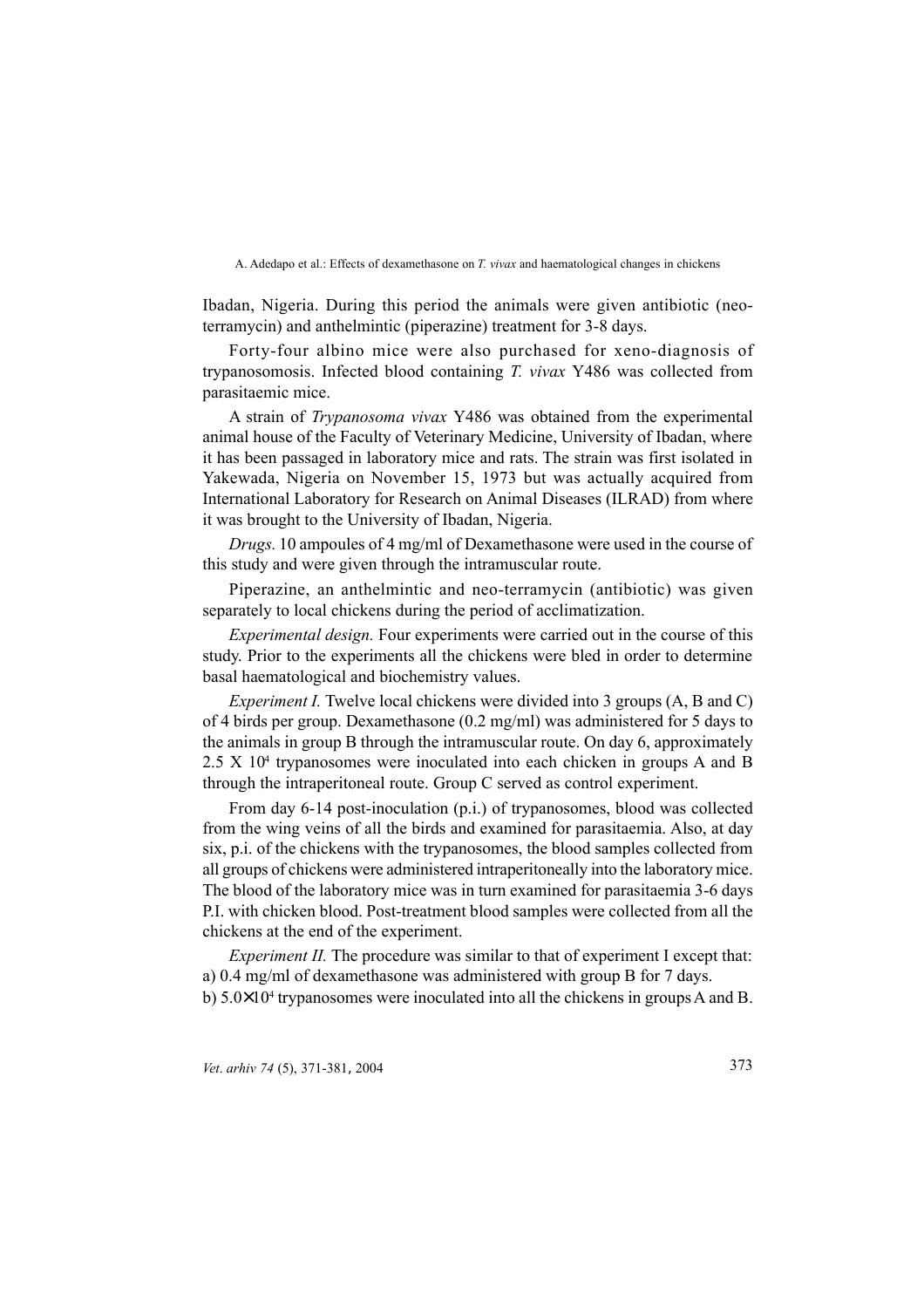Ibadan, Nigeria. During this period the animals were given antibiotic (neoterramycin) and anthelmintic (piperazine) treatment for 3-8 days.

Forty-four albino mice were also purchased for xeno-diagnosis of trypanosomosis. Infected blood containing *T. vivax* Y486 was collected from parasitaemic mice.

A strain of *Trypanosoma vivax* Y486 was obtained from the experimental animal house of the Faculty of Veterinary Medicine, University of Ibadan, where it has been passaged in laboratory mice and rats. The strain was first isolated in Yakewada, Nigeria on November 15, 1973 but was actually acquired from International Laboratory for Research on Animal Diseases (ILRAD) from where it was brought to the University of Ibadan, Nigeria.

*Drugs.* 10 ampoules of 4 mg/ml of Dexamethasone were used in the course of this study and were given through the intramuscular route.

Piperazine, an anthelmintic and neo-terramycin (antibiotic) was given separately to local chickens during the period of acclimatization.

*Experimental design.* Four experiments were carried out in the course of this study. Prior to the experiments all the chickens were bled in order to determine basal haematological and biochemistry values.

*Experiment I.* Twelve local chickens were divided into 3 groups (A, B and C) of 4 birds per group. Dexamethasone (0.2 mg/ml) was administered for 5 days to the animals in group B through the intramuscular route. On day 6, approximately  $2.5 \text{ X } 10^4$  trypanosomes were inoculated into each chicken in groups A and B through the intraperitoneal route. Group C served as control experiment.

From day 6-14 post-inoculation (p.i.) of trypanosomes, blood was collected from the wing veins of all the birds and examined for parasitaemia. Also, at day six, p.i. of the chickens with the trypanosomes, the blood samples collected from all groups of chickens were administered intraperitoneally into the laboratory mice. The blood of the laboratory mice was in turn examined for parasitaemia 3-6 days P.I. with chicken blood. Post-treatment blood samples were collected from all the chickens at the end of the experiment.

*Experiment II.* The procedure was similar to that of experiment I except that: a) 0.4 mg/ml of dexamethasone was administered with group B for 7 days. b) 5.0×10<sup>4</sup> trypanosomes were inoculated into all the chickens in groups A and B.

*Vet*. *arhiv 74* (5), 371-381, 2004 373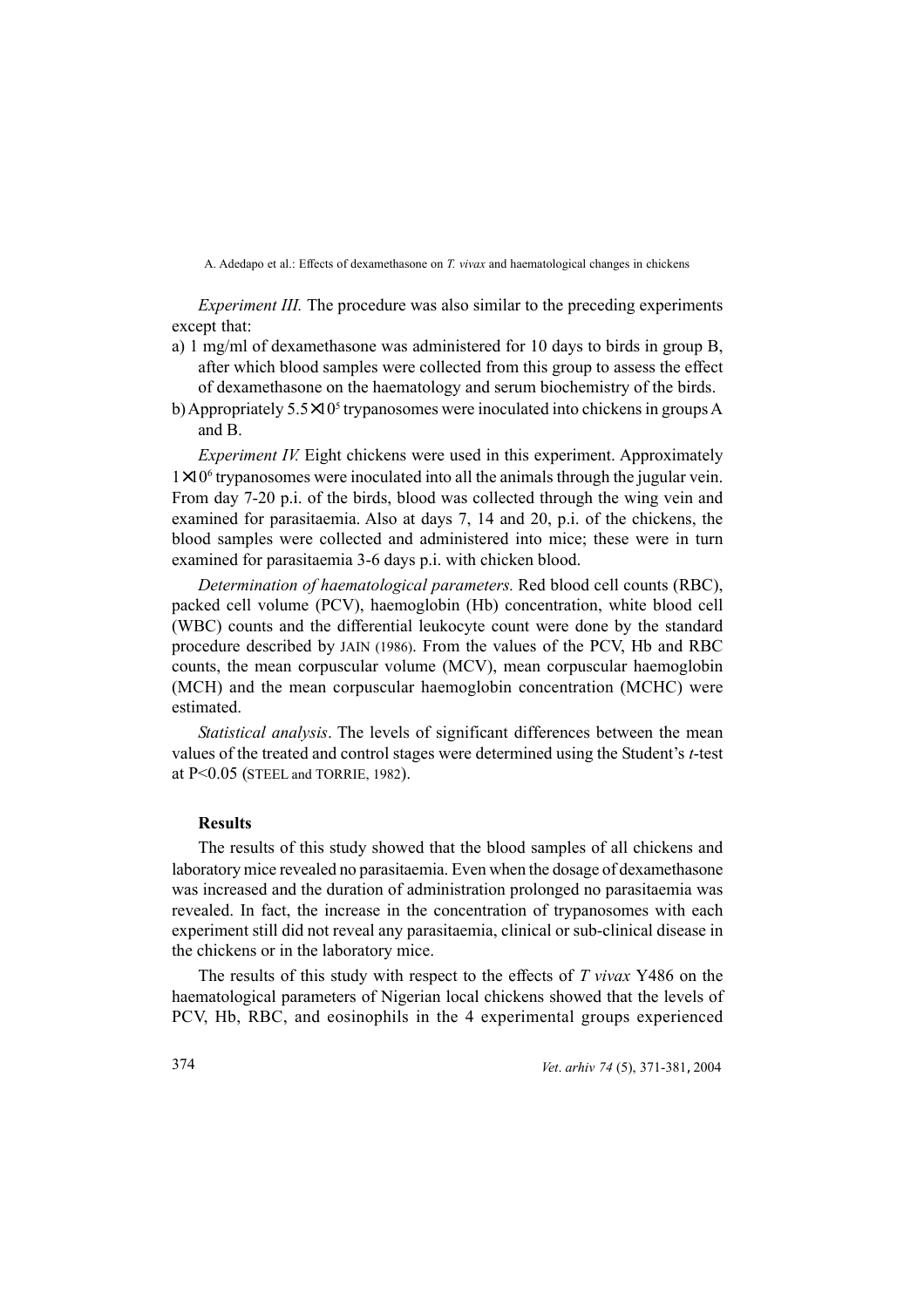*Experiment III.* The procedure was also similar to the preceding experiments except that:

- a) 1 mg/ml of dexamethasone was administered for 10 days to birds in group B, after which blood samples were collected from this group to assess the effect of dexamethasone on the haematology and serum biochemistry of the birds.
- b) Appropriately 5.5×10<sup>5</sup> trypanosomes were inoculated into chickens in groups A and B.

*Experiment IV.* Eight chickens were used in this experiment. Approximately 1×10<sup>6</sup> trypanosomes were inoculated into all the animals through the jugular vein. From day 7-20 p.i. of the birds, blood was collected through the wing vein and examined for parasitaemia. Also at days 7, 14 and 20, p.i. of the chickens, the blood samples were collected and administered into mice; these were in turn examined for parasitaemia 3-6 days p.i. with chicken blood.

*Determination of haematological parameters.* Red blood cell counts (RBC), packed cell volume (PCV), haemoglobin (Hb) concentration, white blood cell (WBC) counts and the differential leukocyte count were done by the standard procedure described by JAIN (1986). From the values of the PCV, Hb and RBC counts, the mean corpuscular volume (MCV), mean corpuscular haemoglobin (MCH) and the mean corpuscular haemoglobin concentration (MCHC) were estimated.

*Statistical analysis*. The levels of significant differences between the mean values of the treated and control stages were determined using the Student's *t*-test at P<0.05 (STEEL and TORRIE, 1982).

# **Results**

The results of this study showed that the blood samples of all chickens and laboratory mice revealed no parasitaemia. Even when the dosage of dexamethasone was increased and the duration of administration prolonged no parasitaemia was revealed. In fact, the increase in the concentration of trypanosomes with each experiment still did not reveal any parasitaemia, clinical or sub-clinical disease in the chickens or in the laboratory mice.

The results of this study with respect to the effects of *T vivax* Y486 on the haematological parameters of Nigerian local chickens showed that the levels of PCV, Hb, RBC, and eosinophils in the 4 experimental groups experienced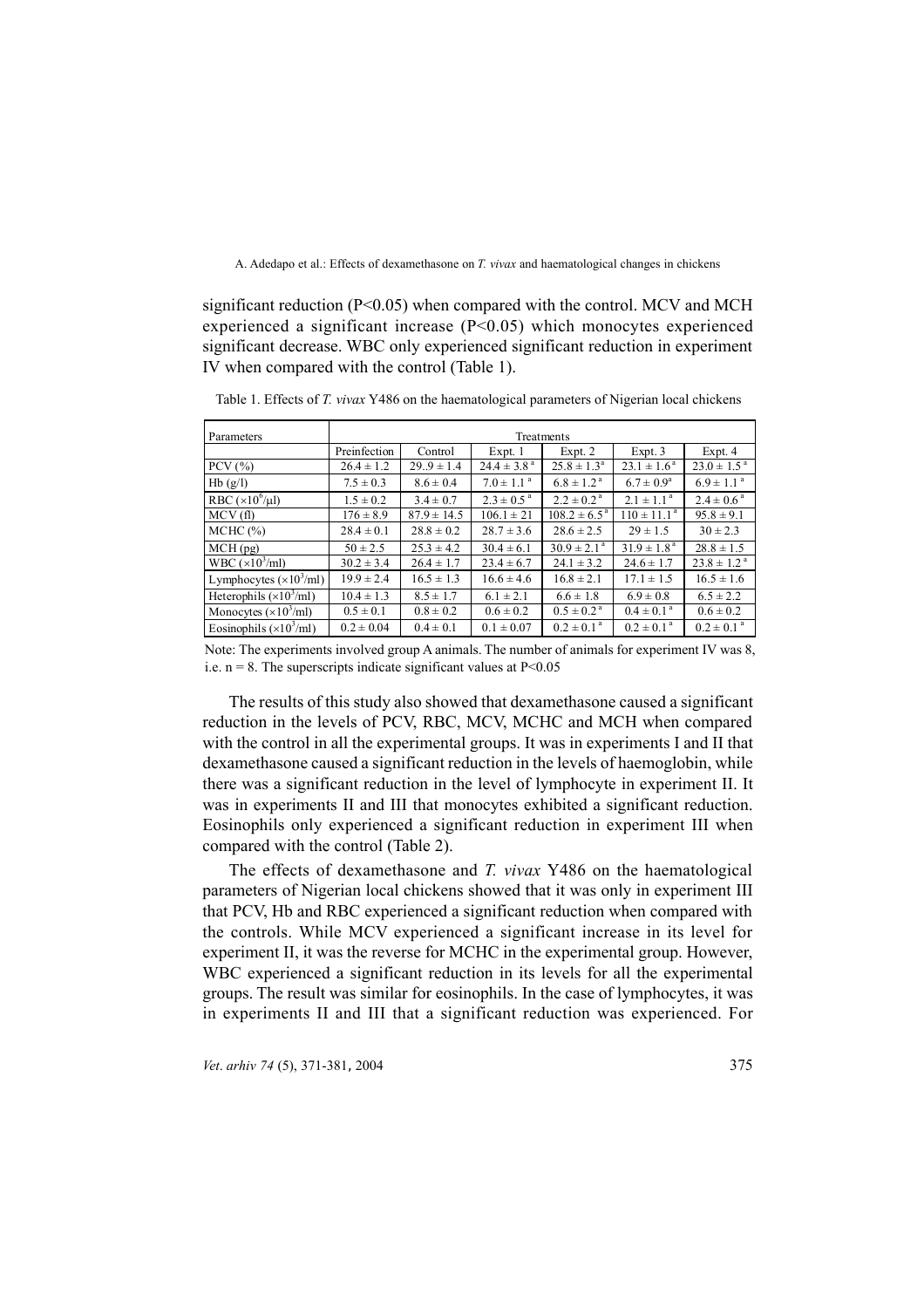significant reduction  $(P<0.05)$  when compared with the control. MCV and MCH experienced a significant increase  $(P<0.05)$  which monocytes experienced significant decrease. WBC only experienced significant reduction in experiment IV when compared with the control (Table 1).

| Parameters                      | Treatments     |                 |                             |                            |                           |                             |  |
|---------------------------------|----------------|-----------------|-----------------------------|----------------------------|---------------------------|-----------------------------|--|
|                                 | Preinfection   | Control         | Expt. 1                     | Expt. 2                    | Expt.3                    | Expt. 4                     |  |
| PCV $(\% )$                     | $26.4 \pm 1.2$ | $29.9 \pm 1.4$  | $24.4 \pm 3.8$ <sup>a</sup> | $25.8 \pm 1.3^a$           | $23.1 \pm 1.6^{\text{a}}$ | $23.0 \pm 1.5$ <sup>a</sup> |  |
| Hb(g/l)                         | $7.5 \pm 0.3$  | $8.6 \pm 0.4$   | $7.0 \pm 1.1^{\text{a}}$    | $6.8 \pm 1.2^{\text{a}}$   | $6.7 \pm 0.9^{\rm a}$     | $6.9 \pm 1.1$ <sup>a</sup>  |  |
| RBC $(\times 10^6/\mu l)$       | $1.5 \pm 0.2$  | $3.4 \pm 0.7$   | $2.3 \pm 0.5^{\text{a}}$    | $2.2 \pm 0.2^{\text{a}}$   | $2.1 \pm 1.1^{\text{a}}$  | $2.4 \pm 0.6^{\text{a}}$    |  |
| MCV(f)                          | $176 \pm 8.9$  | $87.9 \pm 14.5$ | $106.1 \pm 21$              | $108.2 \pm 6.5^{\text{a}}$ | $110 \pm 11.1^a$          | $95.8 \pm 9.1$              |  |
| MCHC (%)                        | $28.4 \pm 0.1$ | $28.8 \pm 0.2$  | $28.7 \pm 3.6$              | $28.6 \pm 2.5$             | $29 \pm 1.5$              | $30 \pm 2.3$                |  |
| MCH(pg)                         | $50 \pm 2.5$   | $25.3 \pm 4.2$  | $30.4 \pm 6.1$              | $30.9 \pm 2.1^{\circ}$     | $31.9 \pm 1.8^{\text{a}}$ | $28.8 \pm 1.5$              |  |
| WBC $(\times 10^3$ /ml)         | $30.2 \pm 3.4$ | $26.4 \pm 1.7$  | $23.4 \pm 6.7$              | $24.1 \pm 3.2$             | $24.6 \pm 1.7$            | $23.8 \pm 1.2^{\text{a}}$   |  |
| Lymphocytes $(\times 10^3$ /ml) | $19.9 \pm 2.4$ | $16.5 \pm 1.3$  | $16.6 \pm 4.6$              | $16.8 \pm 2.1$             | $17.1 \pm 1.5$            | $16.5 \pm 1.6$              |  |
| Heterophils $(\times 10^3$ /ml) | $10.4 \pm 1.3$ | $8.5 \pm 1.7$   | $6.1 \pm 2.1$               | $6.6 \pm 1.8$              | $6.9 \pm 0.8$             | $6.5 \pm 2.2$               |  |
| Monocytes $(\times 10^3$ /ml)   | $0.5 \pm 0.1$  | $0.8 \pm 0.2$   | $0.6 \pm 0.2$               | $0.5 \pm 0.2^{\text{a}}$   | $0.4 \pm 0.1^{\text{a}}$  | $0.6 \pm 0.2$               |  |
| Eosinophils $(\times 10^3$ /ml) | $0.2 \pm 0.04$ | $0.4 \pm 0.1$   | $0.1 \pm 0.07$              | $0.2 \pm 0.1^{\text{a}}$   | $0.2 \pm 0.1^{\text{a}}$  | $0.2 \pm 0.1$ <sup>a</sup>  |  |

Table 1. Effects of *T. vivax* Y486 on the haematological parameters of Nigerian local chickens

Note: The experiments involved group A animals. The number of animals for experiment IV was 8, i.e.  $n = 8$ . The superscripts indicate significant values at  $P \le 0.05$ 

The results of this study also showed that dexamethasone caused a significant reduction in the levels of PCV, RBC, MCV, MCHC and MCH when compared with the control in all the experimental groups. It was in experiments I and II that dexamethasone caused a significant reduction in the levels of haemoglobin, while there was a significant reduction in the level of lymphocyte in experiment II. It was in experiments II and III that monocytes exhibited a significant reduction. Eosinophils only experienced a significant reduction in experiment III when compared with the control (Table 2).

The effects of dexamethasone and *T. vivax* Y486 on the haematological parameters of Nigerian local chickens showed that it was only in experiment III that PCV, Hb and RBC experienced a significant reduction when compared with the controls. While MCV experienced a significant increase in its level for experiment II, it was the reverse for MCHC in the experimental group. However, WBC experienced a significant reduction in its levels for all the experimental groups. The result was similar for eosinophils. In the case of lymphocytes, it was in experiments II and III that a significant reduction was experienced. For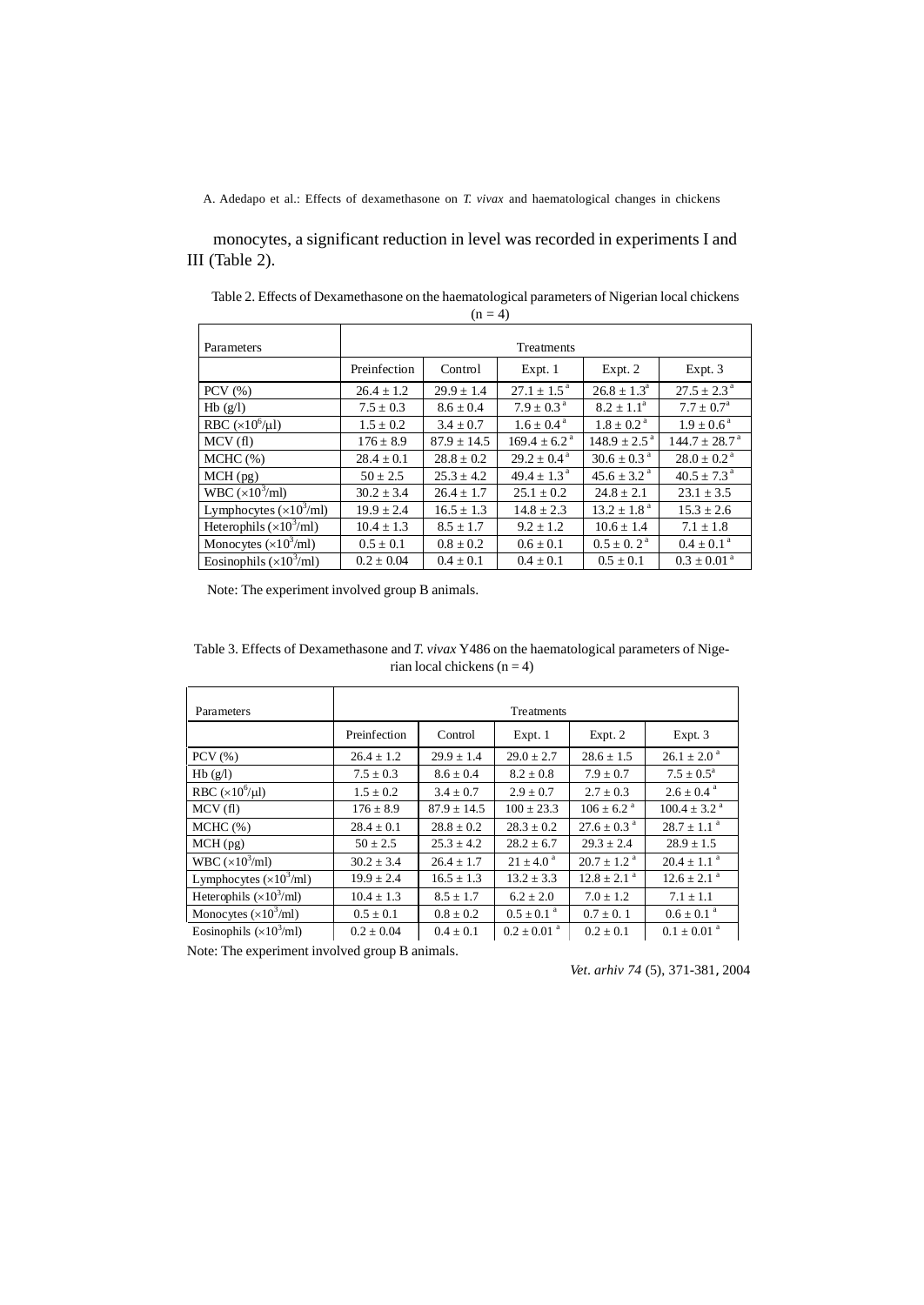monocytes, a significant reduction in level was recorded in experiments I and III (Table 2).

| $\cdot$ ,                       |                |                 |                            |                             |                               |  |  |
|---------------------------------|----------------|-----------------|----------------------------|-----------------------------|-------------------------------|--|--|
| Parameters                      | Treatments     |                 |                            |                             |                               |  |  |
|                                 | Preinfection   | Control         | Expt. 1                    | Expt. 2                     | Expt.3                        |  |  |
| PCV $(% )$                      | $26.4 \pm 1.2$ | $29.9 \pm 1.4$  | $27.1 \pm 1.5^{\text{a}}$  | $26.8 \pm 1.3^{\circ}$      | $27.5 \pm 2.3^{\text{a}}$     |  |  |
| Hb(g/l)                         | $7.5 \pm 0.3$  | $8.6 \pm 0.4$   | $7.9 \pm 0.3^{\text{a}}$   | $8.2 \pm 1.1^a$             | $7.7 \pm 0.7^{\rm a}$         |  |  |
| RBC $(\times 10^6/\mu l)$       | $1.5 \pm 0.2$  | $3.4 \pm 0.7$   | $1.6 \pm 0.4^{\text{a}}$   | $1.8 \pm 0.2^{\text{a}}$    | $1.9 \pm 0.6^{\text{a}}$      |  |  |
| MCV(f)                          | $176 \pm 8.9$  | $87.9 \pm 14.5$ | $169.4 \pm 6.2^{\text{a}}$ | $148.9 \pm 2.5^{\text{a}}$  | $144.7 \pm 28.7$ <sup>a</sup> |  |  |
| $MCHC$ (%)                      | $28.4 \pm 0.1$ | $28.8 \pm 0.2$  | $29.2 \pm 0.4^{\text{a}}$  | $30.6 \pm 0.3$ <sup>a</sup> | $28.0 \pm 0.2^{\text{a}}$     |  |  |
| $MCH$ (pg)                      | $50 \pm 2.5$   | $25.3 \pm 4.2$  | $49.4 + 1.3a$              | $45.6 \pm 3.2$ <sup>a</sup> | $40.5 \pm 7.3$ <sup>a</sup>   |  |  |
| WBC $(\times 10^3$ /ml)         | $30.2 \pm 3.4$ | $26.4 \pm 1.7$  | $25.1 \pm 0.2$             | $24.8 \pm 2.1$              | $23.1 \pm 3.5$                |  |  |
| Lymphocytes $(\times 10^3$ /ml) | $19.9 \pm 2.4$ | $16.5 \pm 1.3$  | $14.8 \pm 2.3$             | $13.2 \pm 1.8$ <sup>a</sup> | $15.3 \pm 2.6$                |  |  |
| Heterophils $(\times 10^3$ /ml) | $10.4 \pm 1.3$ | $8.5 \pm 1.7$   | $9.2 \pm 1.2$              | $10.6 \pm 1.4$              | $7.1 \pm 1.8$                 |  |  |
| Monocytes $(\times 10^3$ /ml)   | $0.5 \pm 0.1$  | $0.8 \pm 0.2$   | $0.6 \pm 0.1$              | $0.5 \pm 0.2^{\text{a}}$    | $0.4 \pm 0.1$ <sup>a</sup>    |  |  |
| Eosinophils $(\times 10^3$ /ml) | $0.2 \pm 0.04$ | $0.4 \pm 0.1$   | $0.4 \pm 0.1$              | $0.5 \pm 0.1$               | $0.3 \pm 0.01^{\text{ a}}$    |  |  |

Table 2. Effects of Dexamethasone on the haematological parameters of Nigerian local chickens  $(n = 4)$ 

Note: The experiment involved group B animals.

Table 3. Effects of Dexamethasone and *T. vivax* Y486 on the haematological parameters of Nigerian local chickens  $(n = 4)$ 

| Parameters                            | Treatments     |                 |                             |                             |                              |  |  |
|---------------------------------------|----------------|-----------------|-----------------------------|-----------------------------|------------------------------|--|--|
|                                       | Preinfection   | Control         | Expt. 1                     | Expt. 2                     | Expt. 3                      |  |  |
| $PCV$ $%$ )                           | $26.4 \pm 1.2$ | $29.9 \pm 1.4$  | $29.0 \pm 2.7$              | $28.6 \pm 1.5$              | $26.1 \pm 2.0^{\text{a}}$    |  |  |
| Hb(g/l)                               | $7.5 \pm 0.3$  | $8.6 \pm 0.4$   | $8.2 \pm 0.8$               | $7.9 \pm 0.7$               | $7.5 \pm 0.5^{\text{a}}$     |  |  |
| RBC $(\times 10^6/\mu l)$             | $1.5 \pm 0.2$  | $3.4 \pm 0.7$   | $2.9 \pm 0.7$               | $2.7 \pm 0.3$               | $2.6 \pm 0.4$ <sup>a</sup>   |  |  |
| MCV(f)                                | $176 \pm 8.9$  | $87.9 \pm 14.5$ | $100 \pm 23.3$              | $106 \pm 6.2$ <sup>a</sup>  | $100.4 \pm 3.2$ <sup>a</sup> |  |  |
| $MCHC$ $(\%)$                         | $28.4 \pm 0.1$ | $28.8 \pm 0.2$  | $28.3 \pm 0.2$              | $27.6 + 0.3^{\text{a}}$     | $28.7 + 1.1$ <sup>a</sup>    |  |  |
| MCH(pg)                               | $50 \pm 2.5$   | $25.3 + 4.2$    | $28.2 \pm 6.7$              | $29.3 + 2.4$                | $28.9 \pm 1.5$               |  |  |
| WBC $(\times 10^3$ /ml)               | $30.2 \pm 3.4$ | $26.4 \pm 1.7$  | $21 \pm 4.0^{\circ}$        | $20.7 \pm 1.2$ <sup>a</sup> | $20.4 \pm 1.1$ <sup>a</sup>  |  |  |
| Lymphocytes $(\times 10^3$ /ml)       | $19.9 \pm 2.4$ | $16.5 \pm 1.3$  | $13.2 \pm 3.3$              | $12.8 \pm 2.1$ <sup>a</sup> | $12.6 \pm 2.1$ <sup>a</sup>  |  |  |
| Heterophils $(\times 10^3$ /ml)       | $10.4 \pm 1.3$ | $8.5 \pm 1.7$   | $6.2 \pm 2.0$               | $7.0 \pm 1.2$               | $7.1 \pm 1.1$                |  |  |
| Monocytes $(\times 10^3$ /ml)         | $0.5 \pm 0.1$  | $0.8 \pm 0.2$   | $0.5 \pm 0.1$ <sup>a</sup>  | $0.7 \pm 0.1$               | $0.6 \pm 0.1$ <sup>a</sup>   |  |  |
| Eosinophils $(\times 10^3/\text{ml})$ | $0.2 \pm 0.04$ | $0.4 \pm 0.1$   | $0.2 \pm 0.01$ <sup>a</sup> | $0.2 \pm 0.1$               | $0.1 \pm 0.01$ <sup>a</sup>  |  |  |

Note: The experiment involved group B animals.

*Vet*. *arhiv 74* (5), 371-381, 2004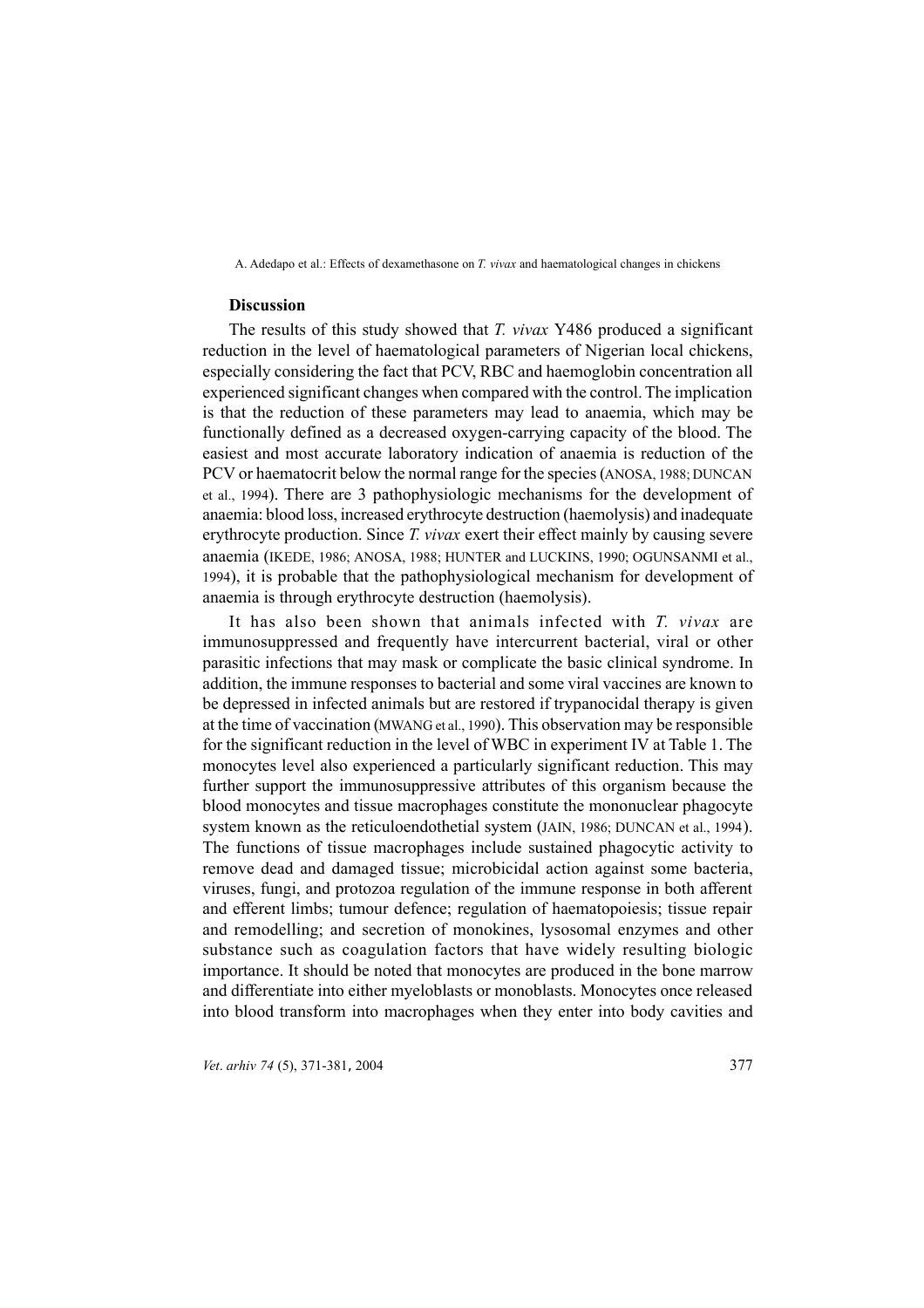### **Discussion**

The results of this study showed that *T. vivax* Y486 produced a significant reduction in the level of haematological parameters of Nigerian local chickens, especially considering the fact that PCV, RBC and haemoglobin concentration all experienced significant changes when compared with the control. The implication is that the reduction of these parameters may lead to anaemia, which may be functionally defined as a decreased oxygen-carrying capacity of the blood. The easiest and most accurate laboratory indication of anaemia is reduction of the PCV or haematocrit below the normal range for the species (ANOSA, 1988; DUNCAN et al., 1994). There are 3 pathophysiologic mechanisms for the development of anaemia: blood loss, increased erythrocyte destruction (haemolysis) and inadequate erythrocyte production. Since *T. vivax* exert their effect mainly by causing severe anaemia (IKEDE, 1986; ANOSA, 1988; HUNTER and LUCKINS, 1990; OGUNSANMI et al., 1994), it is probable that the pathophysiological mechanism for development of anaemia is through erythrocyte destruction (haemolysis).

It has also been shown that animals infected with *T. vivax* are immunosuppressed and frequently have intercurrent bacterial, viral or other parasitic infections that may mask or complicate the basic clinical syndrome. In addition, the immune responses to bacterial and some viral vaccines are known to be depressed in infected animals but are restored if trypanocidal therapy is given at the time of vaccination (MWANG et al., 1990). This observation may be responsible for the significant reduction in the level of WBC in experiment IV at Table 1. The monocytes level also experienced a particularly significant reduction. This may further support the immunosuppressive attributes of this organism because the blood monocytes and tissue macrophages constitute the mononuclear phagocyte system known as the reticuloendothetial system (JAIN, 1986; DUNCAN et al., 1994). The functions of tissue macrophages include sustained phagocytic activity to remove dead and damaged tissue; microbicidal action against some bacteria, viruses, fungi, and protozoa regulation of the immune response in both afferent and efferent limbs; tumour defence; regulation of haematopoiesis; tissue repair and remodelling; and secretion of monokines, lysosomal enzymes and other substance such as coagulation factors that have widely resulting biologic importance. It should be noted that monocytes are produced in the bone marrow and differentiate into either myeloblasts or monoblasts. Monocytes once released into blood transform into macrophages when they enter into body cavities and

*Vet. arhiv*  $74$  (5), 371-381, 2004 377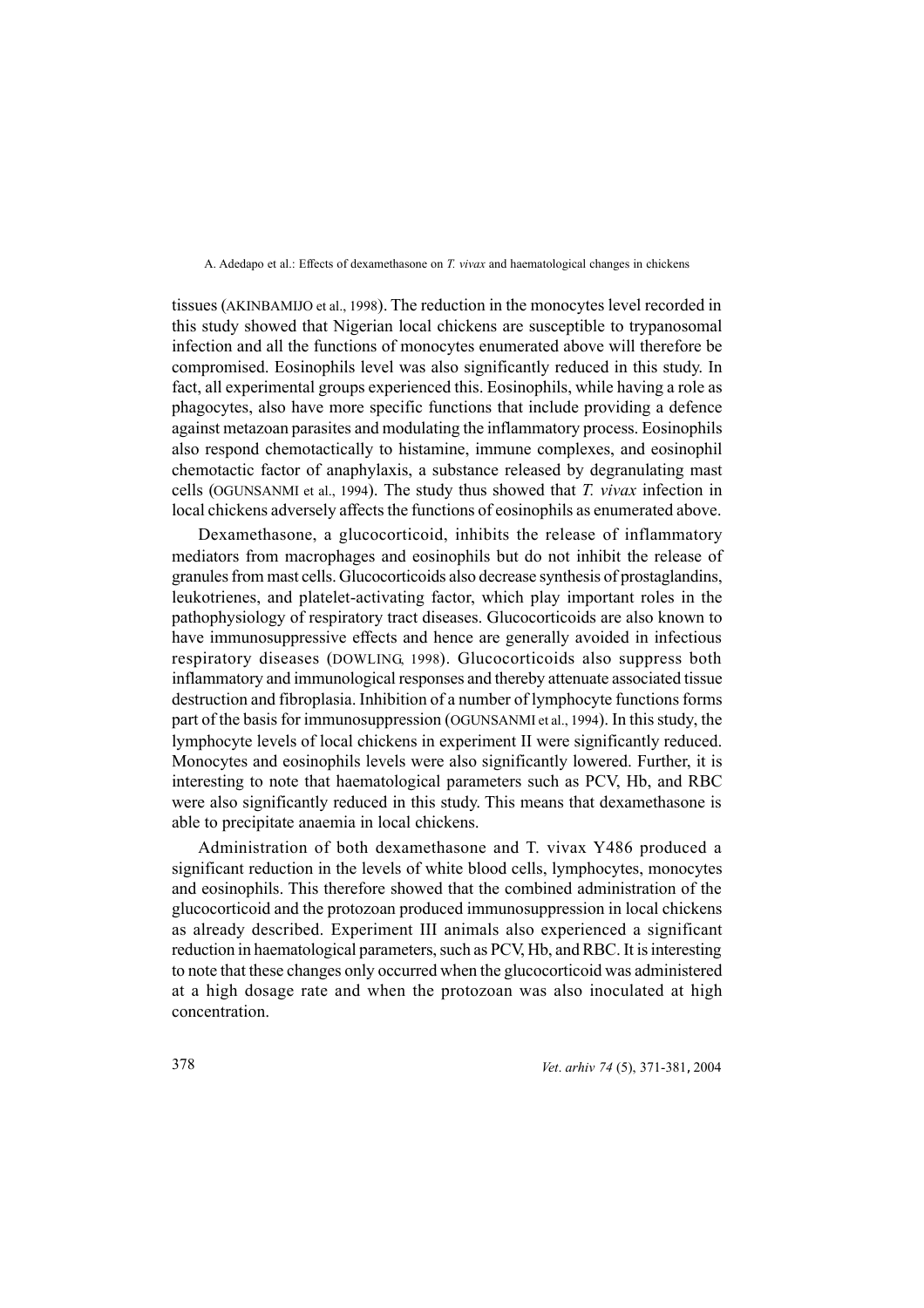tissues (AKINBAMIJO et al., 1998). The reduction in the monocytes level recorded in this study showed that Nigerian local chickens are susceptible to trypanosomal infection and all the functions of monocytes enumerated above will therefore be compromised. Eosinophils level was also significantly reduced in this study. In fact, all experimental groups experienced this. Eosinophils, while having a role as phagocytes, also have more specific functions that include providing a defence against metazoan parasites and modulating the inflammatory process. Eosinophils also respond chemotactically to histamine, immune complexes, and eosinophil chemotactic factor of anaphylaxis, a substance released by degranulating mast cells (OGUNSANMI et al., 1994). The study thus showed that *T. vivax* infection in local chickens adversely affects the functions of eosinophils as enumerated above.

Dexamethasone, a glucocorticoid, inhibits the release of inflammatory mediators from macrophages and eosinophils but do not inhibit the release of granules from mast cells. Glucocorticoids also decrease synthesis of prostaglandins, leukotrienes, and platelet-activating factor, which play important roles in the pathophysiology of respiratory tract diseases. Glucocorticoids are also known to have immunosuppressive effects and hence are generally avoided in infectious respiratory diseases (DOWLING, 1998). Glucocorticoids also suppress both inflammatory and immunological responses and thereby attenuate associated tissue destruction and fibroplasia. Inhibition of a number of lymphocyte functions forms part of the basis for immunosuppression (OGUNSANMI et al., 1994). In this study, the lymphocyte levels of local chickens in experiment II were significantly reduced. Monocytes and eosinophils levels were also significantly lowered. Further, it is interesting to note that haematological parameters such as PCV, Hb, and RBC were also significantly reduced in this study. This means that dexamethasone is able to precipitate anaemia in local chickens.

Administration of both dexamethasone and T. vivax Y486 produced a significant reduction in the levels of white blood cells, lymphocytes, monocytes and eosinophils. This therefore showed that the combined administration of the glucocorticoid and the protozoan produced immunosuppression in local chickens as already described. Experiment III animals also experienced a significant reduction in haematological parameters, such as PCV, Hb, and RBC. It is interesting to note that these changes only occurred when the glucocorticoid was administered at a high dosage rate and when the protozoan was also inoculated at high concentration.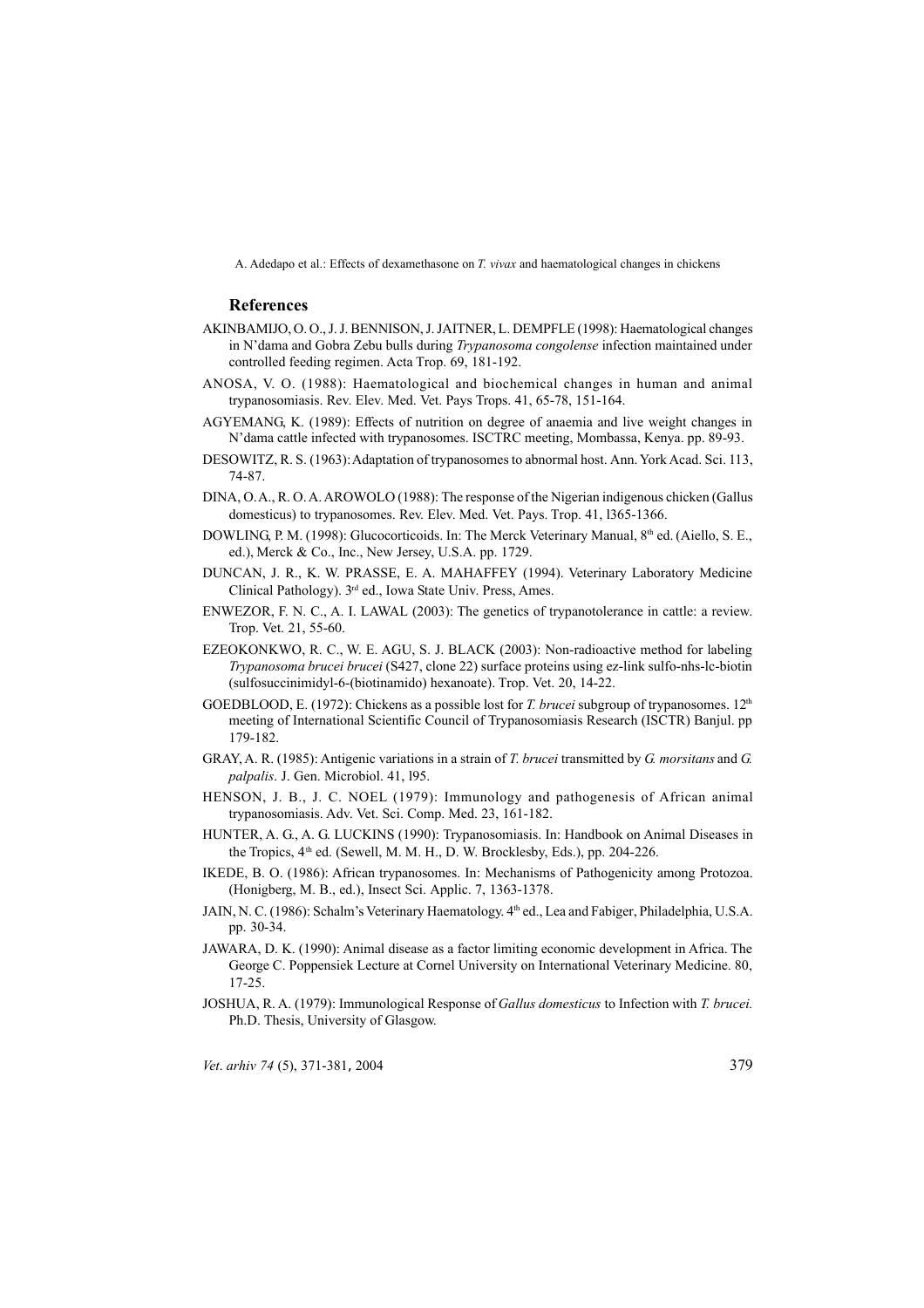#### **References**

- AKINBAMIJO, O. O., J. J. BENNISON, J. JAITNER, L. DEMPFLE (1998): Haematological changes in N'dama and Gobra Zebu bulls during *Trypanosoma congolense* infection maintained under controlled feeding regimen. Acta Trop. 69, 181-192.
- ANOSA, V. O. (1988): Haematological and biochemical changes in human and animal trypanosomiasis. Rev. Elev. Med. Vet. Pays Trops. 41, 65-78, 151-164.
- AGYEMANG, K. (1989): Effects of nutrition on degree of anaemia and live weight changes in N'dama cattle infected with trypanosomes. ISCTRC meeting, Mombassa, Kenya. pp. 89-93.
- DESOWITZ, R. S. (1963): Adaptation of trypanosomes to abnormal host. Ann. York Acad. Sci. 113, 74-87.
- DINA, O. A., R. O. A. AROWOLO (1988): The response of the Nigerian indigenous chicken (Gallus domesticus) to trypanosomes. Rev. Elev. Med. Vet. Pays. Trop. 41, l365-1366.
- DOWLING, P. M. (1998): Glucocorticoids. In: The Merck Veterinary Manual, 8<sup>th</sup> ed. (Aiello, S. E., ed.), Merck & Co., Inc., New Jersey, U.S.A. pp. 1729.
- DUNCAN, J. R., K. W. PRASSE, E. A. MAHAFFEY (1994). Veterinary Laboratory Medicine Clinical Pathology). 3rd ed., Iowa State Univ. Press, Ames.
- ENWEZOR, F. N. C., A. I. LAWAL (2003): The genetics of trypanotolerance in cattle: a review. Trop. Vet. 21, 55-60.
- EZEOKONKWO, R. C., W. E. AGU, S. J. BLACK (2003): Non-radioactive method for labeling *Trypanosoma brucei brucei* (S427, clone 22) surface proteins using ez-link sulfo-nhs-lc-biotin (sulfosuccinimidyl-6-(biotinamido) hexanoate). Trop. Vet. 20, 14-22.
- GOEDBLOOD, E. (1972): Chickens as a possible lost for *T. brucei* subgroup of trypanosomes. 12<sup>th</sup> meeting of International Scientific Council of Trypanosomiasis Research (ISCTR) Banjul. pp 179-182.
- GRAY, A. R. (1985): Antigenic variations in a strain of *T. brucei* transmitted by *G. morsitans* and *G. palpalis*. J. Gen. Microbiol. 41, l95.
- HENSON, J. B., J. C. NOEL (1979): Immunology and pathogenesis of African animal trypanosomiasis. Adv. Vet. Sci. Comp. Med. 23, 161-182.
- HUNTER, A. G., A. G. LUCKINS (1990): Trypanosomiasis. In: Handbook on Animal Diseases in the Tropics,  $4<sup>th</sup>$  ed. (Sewell, M. M. H., D. W. Brocklesby, Eds.), pp. 204-226.
- IKEDE, B. O. (1986): African trypanosomes. In: Mechanisms of Pathogenicity among Protozoa. (Honigberg, M. B., ed.), Insect Sci. Applic. 7, 1363-1378.
- JAIN, N. C. (1986): Schalm's Veterinary Haematology. 4<sup>th</sup> ed., Lea and Fabiger, Philadelphia, U.S.A. pp. 30-34.
- JAWARA, D. K. (1990): Animal disease as a factor limiting economic development in Africa. The George C. Poppensiek Lecture at Cornel University on International Veterinary Medicine. 80, 17-25.
- JOSHUA, R. A. (1979): Immunological Response of *Gallus domesticus* to Infection with *T. brucei.* Ph.D. Thesis, University of Glasgow.

*Vet*. *arhiv 74* (5), 371-381, 2004 379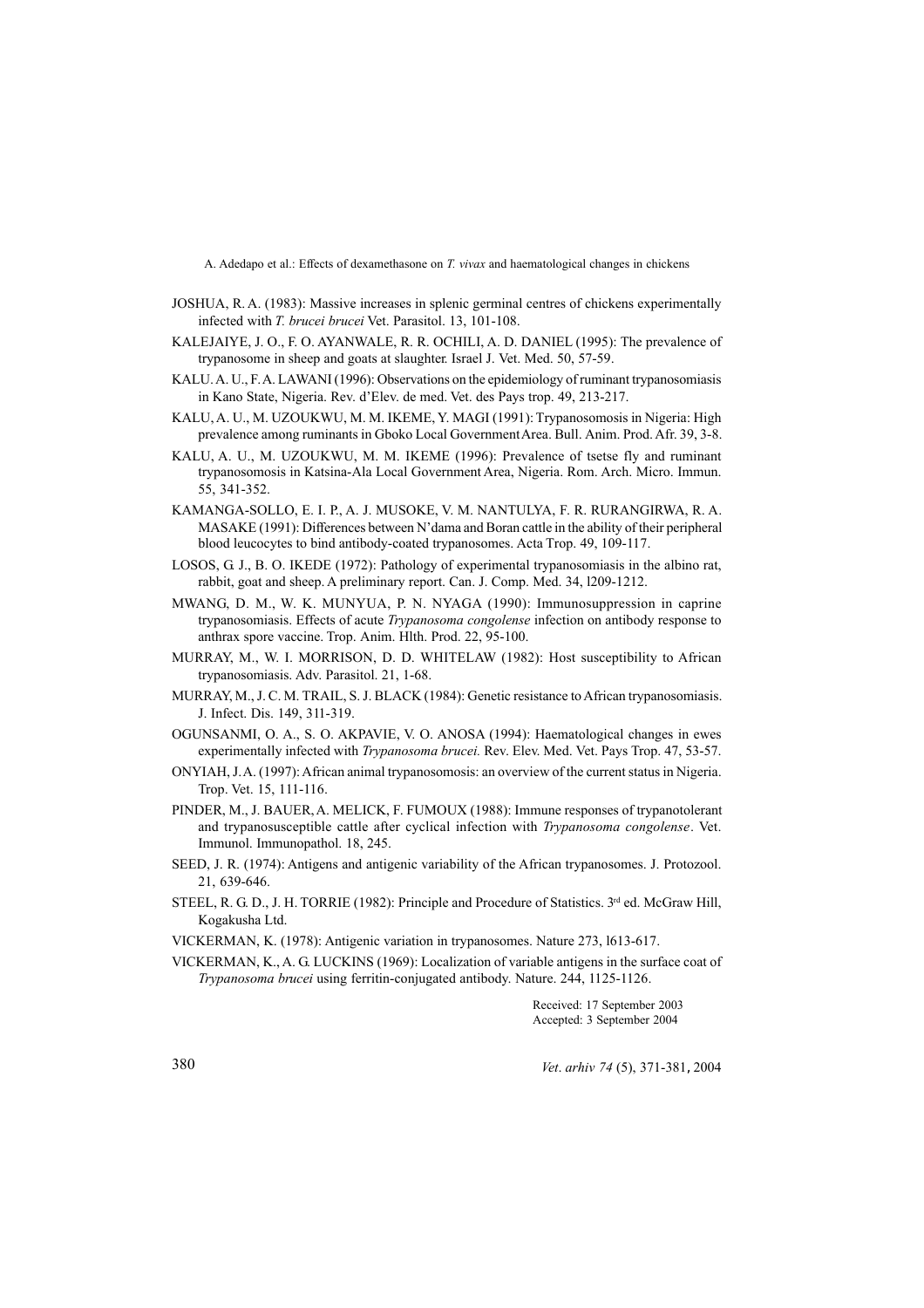- JOSHUA, R. A. (1983): Massive increases in splenic germinal centres of chickens experimentally infected with *T. brucei brucei* Vet. Parasitol. 13, 101-108.
- KALEJAIYE, J. O., F. O. AYANWALE, R. R. OCHILI, A. D. DANIEL (1995): The prevalence of trypanosome in sheep and goats at slaughter. Israel J. Vet. Med. 50, 57-59.
- KALU. A. U., F. A. LAWANI (1996): Observations on the epidemiology of ruminant trypanosomiasis in Kano State, Nigeria. Rev. d'Elev. de med. Vet. des Pays trop. 49, 213-217.
- KALU, A. U., M. UZOUKWU, M. M. IKEME, Y. MAGI (1991): Trypanosomosis in Nigeria: High prevalence among ruminants in Gboko Local Government Area. Bull. Anim. Prod. Afr. 39, 3-8.
- KALU, A. U., M. UZOUKWU, M. M. IKEME (1996): Prevalence of tsetse fly and ruminant trypanosomosis in Katsina-Ala Local Government Area, Nigeria. Rom. Arch. Micro. Immun. 55, 341-352.
- KAMANGA-SOLLO, E. I. P., A. J. MUSOKE, V. M. NANTULYA, F. R. RURANGIRWA, R. A. MASAKE (1991): Differences between N'dama and Boran cattle in the ability of their peripheral blood leucocytes to bind antibody-coated trypanosomes. Acta Trop. 49, 109-117.
- LOSOS, G. J., B. O. IKEDE (1972): Pathology of experimental trypanosomiasis in the albino rat, rabbit, goat and sheep. A preliminary report. Can. J. Comp. Med. 34, l209-1212.
- MWANG, D. M., W. K. MUNYUA, P. N. NYAGA (1990): Immunosuppression in caprine trypanosomiasis. Effects of acute *Trypanosoma congolense* infection on antibody response to anthrax spore vaccine. Trop. Anim. Hlth. Prod. 22, 95-100.
- MURRAY, M., W. I. MORRISON, D. D. WHITELAW (1982): Host susceptibility to African trypanosomiasis. Adv. Parasitol. 21, 1-68.
- MURRAY, M., J. C. M. TRAIL, S. J. BLACK (1984): Genetic resistance to African trypanosomiasis. J. Infect. Dis. 149, 311-319.
- OGUNSANMI, O. A., S. O. AKPAVIE, V. O. ANOSA (1994): Haematological changes in ewes experimentally infected with *Trypanosoma brucei.* Rev. Elev. Med. Vet. Pays Trop. 47, 53-57.
- ONYIAH, J. A. (1997): African animal trypanosomosis: an overview of the current status in Nigeria. Trop. Vet. 15, 111-116.
- PINDER, M., J. BAUER, A. MELICK, F. FUMOUX (1988): Immune responses of trypanotolerant and trypanosusceptible cattle after cyclical infection with *Trypanosoma congolense*. Vet. Immunol. Immunopathol. 18, 245.
- SEED, J. R. (1974): Antigens and antigenic variability of the African trypanosomes. J. Protozool. 21, 639-646.
- STEEL, R. G. D., J. H. TORRIE (1982): Principle and Procedure of Statistics. 3rd ed. McGraw Hill, Kogakusha Ltd.
- VICKERMAN, K. (1978): Antigenic variation in trypanosomes. Nature 273, l613-617.
- VICKERMAN, K., A. G. LUCKINS (1969): Localization of variable antigens in the surface coat of *Trypanosoma brucei* using ferritin-conjugated antibody. Nature. 244, 1125-1126.

Received: 17 September 2003 Accepted: 3 September 2004

380 *Vet*. *arhiv 74* (5), 371-381, 2004